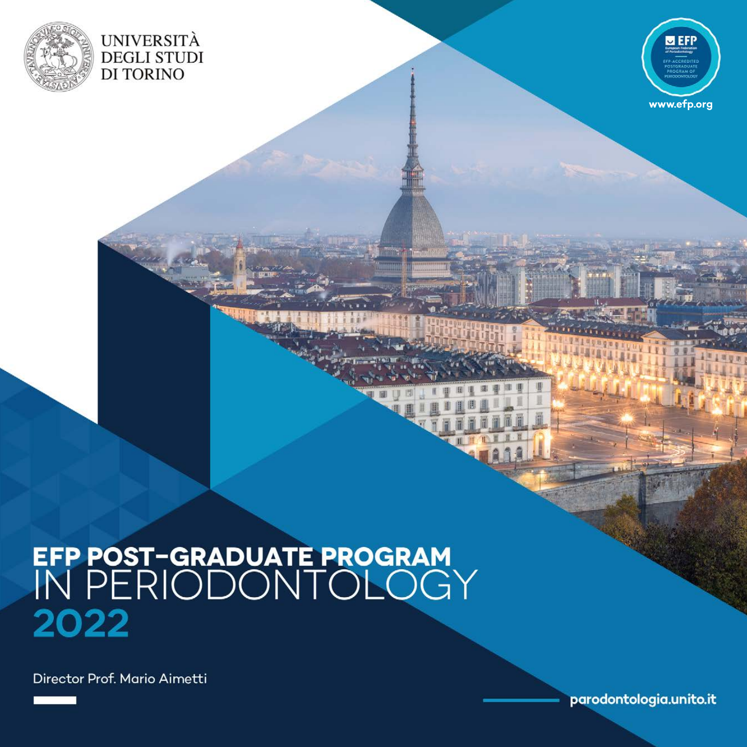



# EFP POST-GRADUATE PROGRAM<br>IN PERIODONTOLOGY 2022

Director Prof. Mario Aimetti

parodontologia.unito.it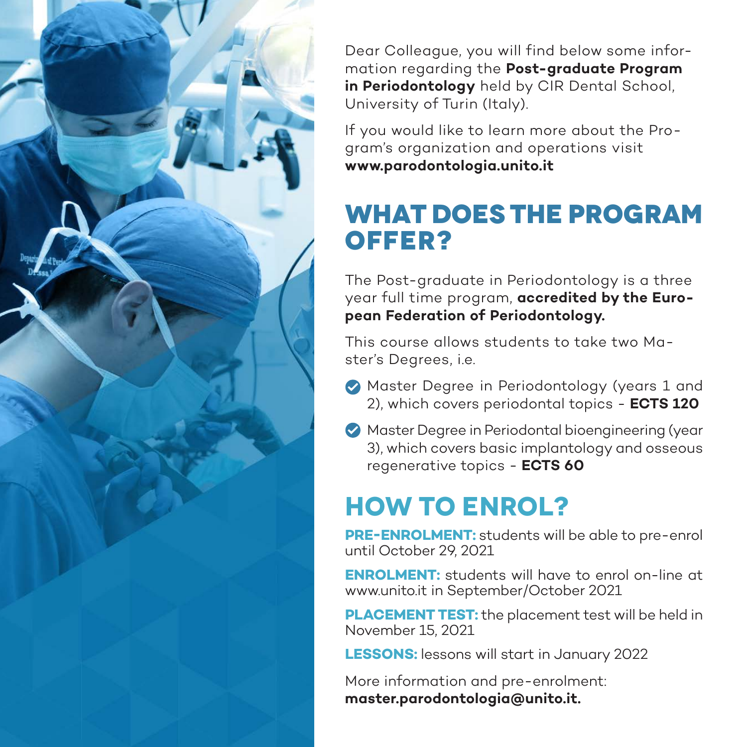

Dear Colleague, you will find below some information regarding the **Post-graduate Program in Periodontology** held by CIR Dental School, University of Turin (Italy).

If you would like to learn more about the Program's organization and operations visit **www.parodontologia.unito.it**

### **What does the program offer?**

The Post-graduate in Periodontology is a three year full time program, **accredited by the European Federation of Periodontology.**

This course allows students to take two Master's Degrees, i.e.

- **Master Degree in Periodontology (years 1 and** 2), which covers periodontal topics - **ECTS 120**
- Master Degree in Periodontal bioengineering (year 3), which covers basic implantology and osseous regenerative topics - **ECTS 60**

## **How to enrol?**

**PRE-ENROLMENT:** students will be able to pre-enrol until October 29, 2021

**ENROLMENT:** students will have to enrol on-line at www.unito.it in September/October 2021

**PLACEMENT TEST:** the placement test will be held in November 15, 2021

**LESSONS:** lessons will start in January 2022

More information and pre-enrolment: **master.parodontologia@unito.it.**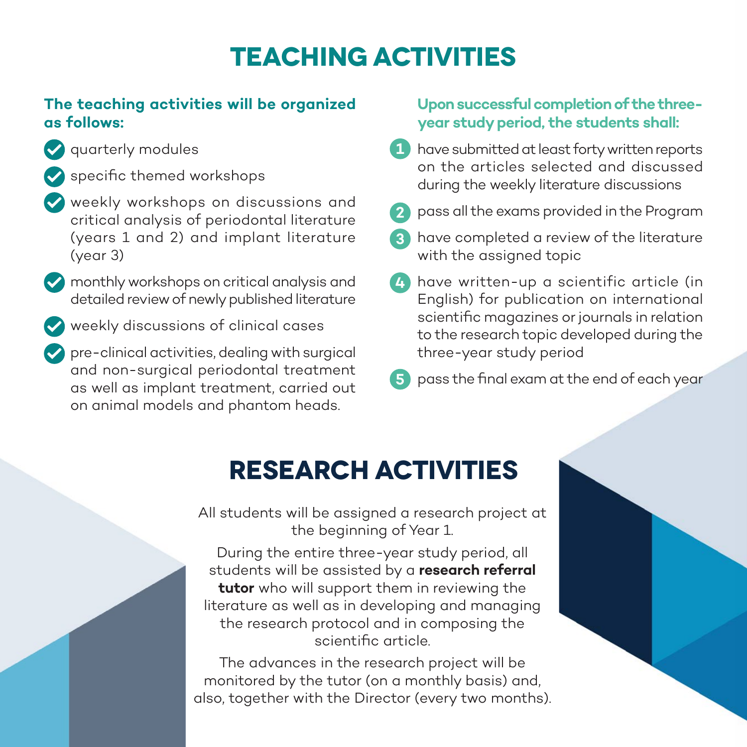### **Teaching activities**

#### **The teaching activities will be organized as follows:**

- quarterly modules
	- specific themed workshops
- weekly workshops on discussions and critical analysis of periodontal literature (years 1 and 2) and implant literature (year 3)
- **M** monthly workshops on critical analysis and detailed review of newly published literature
- weekly discussions of clinical cases
- pre-clinical activities, dealing with surgical and non-surgical periodontal treatment as well as implant treatment, carried out on animal models and phantom heads.

#### **Upon successful completion of the threeyear study period, the students shall:**

- 1 have submitted at least forty written reports on the articles selected and discussed during the weekly literature discussions
- pass all the exams provided in the Program **2**
- have completed a review of the literature **3** with the assigned topic
- have written-up a scientific article (in **4** English) for publication on international scientific magazines or journals in relation to the research topic developed during the three-year study period
- **5** pass the final exam at the end of each year

### **Research activities**

All students will be assigned a research project at the beginning of Year 1.

During the entire three-year study period, all students will be assisted by a **research referral tutor** who will support them in reviewing the literature as well as in developing and managing the research protocol and in composing the scientific article.

The advances in the research project will be monitored by the tutor (on a monthly basis) and, also, together with the Director (every two months).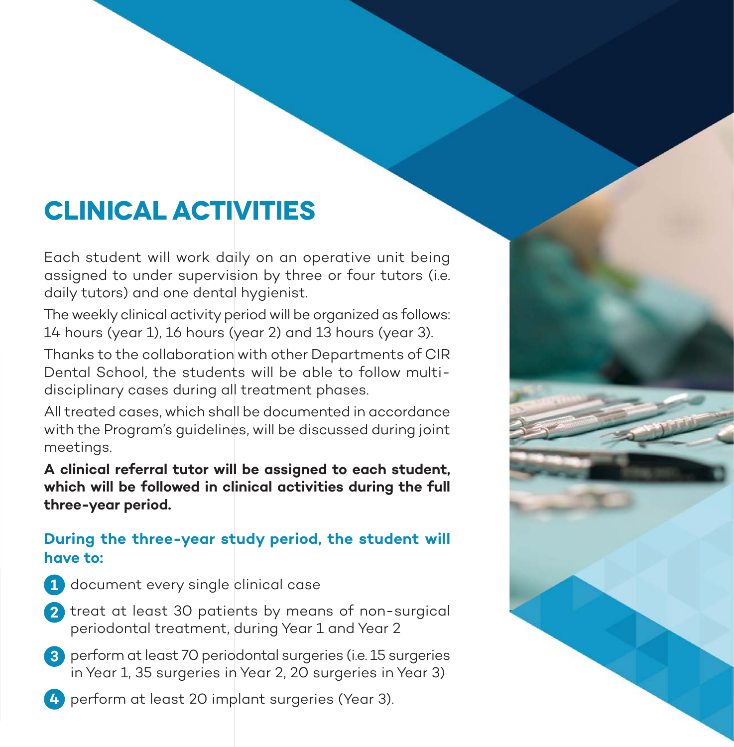### **Clinical activities**

Each student will work daily on an operative unit being assigned to under supervision by three or four tutors (i.e. daily tutors) and one dental hygienist.

The weekly clinical activity period will be organized as follows: 14 hours (year 1), 16 hours (year 2) and 13 hours (year 3).

Thanks to the collaboration with other Departments of CIR Dental School, the students will be able to follow multidisciplinary cases during all treatment phases.

All treated cases, which shall be documented in accordance with the Program's guidelines, will be discussed during joint meetings.

**A clinical referral tutor will be assigned to each student, which will be followed in clinical activities during the full three-year period.**

#### **During the three-year study period, the student will have to:**

- document every single clinical case **1**
- treat at least 30 patients by means of non-surgical **2** periodontal treatment, during Year 1 and Year 2
- perform at least 70 periodontal surgeries (i.e. 15 surgeries **3** in Year 1, 35 surgeries in Year 2, 20 surgeries in Year 3)
- perform at least 20 implant surgeries (Year 3). **4**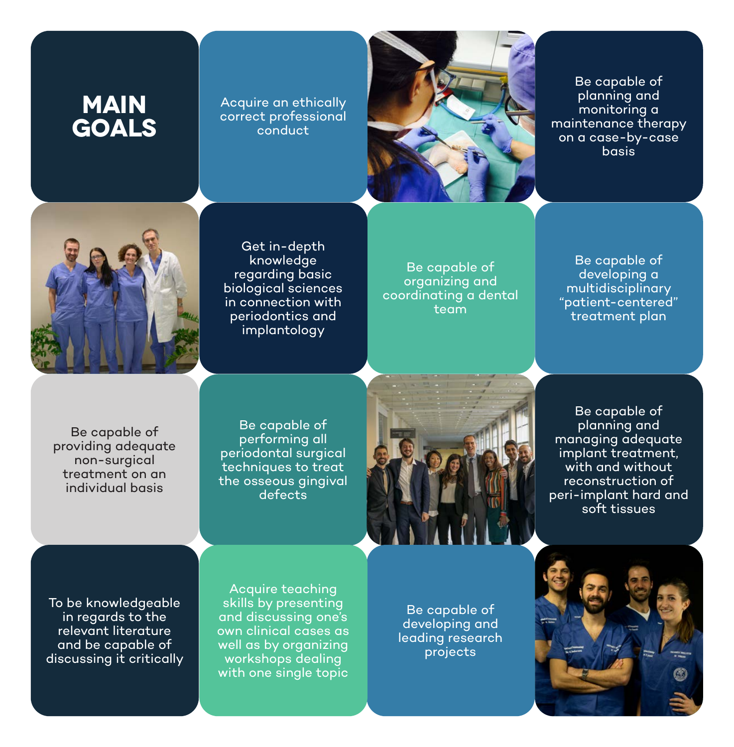### **MAIN GOALS**

Acquire an ethically correct professional conduct



Be capable of planning and monitoring a maintenance therapy on a case-by-case basis



Get in-depth knowledge regarding basic biological sciences in connection with periodontics and implantology

Be capable of organizing and coordinating a dental team

Be capable of developing a multidisciplinary "patient-centered" treatment plan

Be capable of providing adequate non-surgical treatment on an individual basis

Be capable of performing all periodontal surgical techniques to treat the osseous gingival defects



Be capable of planning and managing adequate implant treatment, with and without reconstruction of peri-implant hard and soft tissues

To be knowledgeable in regards to the relevant literature and be capable of discussing it critically

Acquire teaching skills by presenting and discussing one's own clinical cases as well as by organizing workshops dealing with one single topic

Be capable of developing and leading research projects